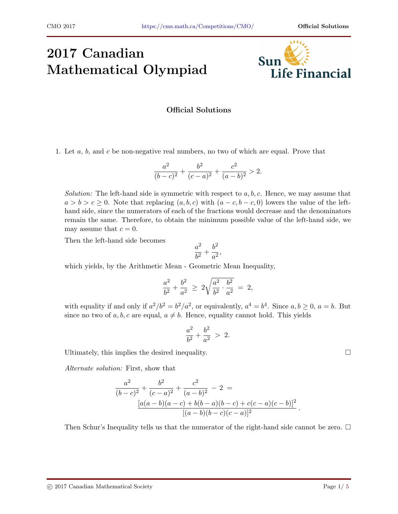## 2017 Canadian Mathematical Olympiad



## Official Solutions

1. Let a, b, and c be non-negative real numbers, no two of which are equal. Prove that

$$
\frac{a^2}{(b-c)^2} + \frac{b^2}{(c-a)^2} + \frac{c^2}{(a-b)^2} > 2.
$$

Solution: The left-hand side is symmetric with respect to  $a, b, c$ . Hence, we may assume that  $a > b > c \geq 0$ . Note that replacing  $(a, b, c)$  with  $(a - c, b - c, 0)$  lowers the value of the lefthand side, since the numerators of each of the fractions would decrease and the denominators remain the same. Therefore, to obtain the minimum possible value of the left-hand side, we may assume that  $c = 0$ .

Then the left-hand side becomes

$$
\frac{a^2}{b^2}+\frac{b^2}{a^2},
$$

which yields, by the Arithmetic Mean - Geometric Mean Inequality,

$$
\frac{a^2}{b^2} + \frac{b^2}{a^2} \ \geq \ 2 \sqrt{\frac{a^2}{b^2} \cdot \frac{b^2}{a^2}} \ = \ 2,
$$

with equality if and only if  $a^2/b^2 = b^2/a^2$ , or equivalently,  $a^4 = b^4$ . Since  $a, b \ge 0$ ,  $a = b$ . But since no two of a, b, c are equal,  $a \neq b$ . Hence, equality cannot hold. This yields

$$
\frac{a^2}{b^2} + \frac{b^2}{a^2} > 2.
$$

Ultimately, this implies the desired inequality.  $\Box$ 

Alternate solution: First, show that

$$
\frac{a^2}{(b-c)^2} + \frac{b^2}{(c-a)^2} + \frac{c^2}{(a-b)^2} - 2 =
$$
  

$$
\frac{[a(a-b)(a-c) + b(b-a)(b-c) + c(c-a)(c-b)]^2}{[(a-b)(b-c)(c-a)]^2}
$$

Then Schur's Inequality tells us that the numerator of the right-hand side cannot be zero.  $\Box$ 

.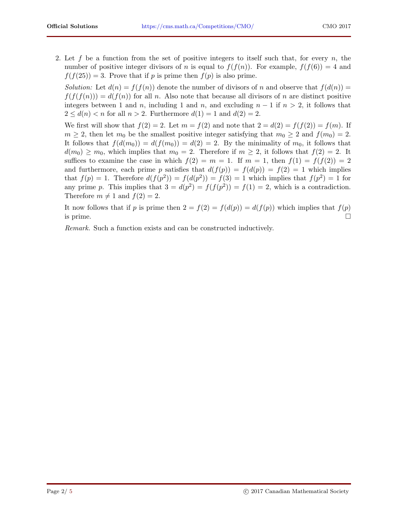2. Let f be a function from the set of positive integers to itself such that, for every n, the number of positive integer divisors of n is equal to  $f(f(n))$ . For example,  $f(f(6)) = 4$  and  $f(f(25)) = 3$ . Prove that if p is prime then  $f(p)$  is also prime.

Solution: Let  $d(n) = f(f(n))$  denote the number of divisors of n and observe that  $f(d(n)) = f(d(n))$  $f(f(f(n))) = d(f(n))$  for all n. Also note that because all divisors of n are distinct positive integers between 1 and n, including 1 and n, and excluding  $n-1$  if  $n>2$ , it follows that  $2 \leq d(n) < n$  for all  $n > 2$ . Furthermore  $d(1) = 1$  and  $d(2) = 2$ .

We first will show that  $f(2) = 2$ . Let  $m = f(2)$  and note that  $2 = d(2) = f(f(2)) = f(m)$ . If  $m \geq 2$ , then let  $m_0$  be the smallest positive integer satisfying that  $m_0 \geq 2$  and  $f(m_0) = 2$ . It follows that  $f(d(m_0)) = d(f(m_0)) = d(2) = 2$ . By the minimality of  $m_0$ , it follows that  $d(m_0) \geq m_0$ , which implies that  $m_0 = 2$ . Therefore if  $m \geq 2$ , it follows that  $f(2) = 2$ . It suffices to examine the case in which  $f(2) = m = 1$ . If  $m = 1$ , then  $f(1) = f(f(2)) = 2$ and furthermore, each prime p satisfies that  $d(f(p)) = f(d(p)) = f(2) = 1$  which implies that  $f(p) = 1$ . Therefore  $d(f(p^2)) = f(d(p^2)) = f(3) = 1$  which implies that  $f(p^2) = 1$  for any prime p. This implies that  $3 = d(p^2) = f(f(p^2)) = f(1) = 2$ , which is a contradiction. Therefore  $m \neq 1$  and  $f(2) = 2$ .

It now follows that if p is prime then  $2 = f(2) = f(d(p)) = d(f(p))$  which implies that  $f(p)$ is prime.  $\square$ 

Remark. Such a function exists and can be constructed inductively.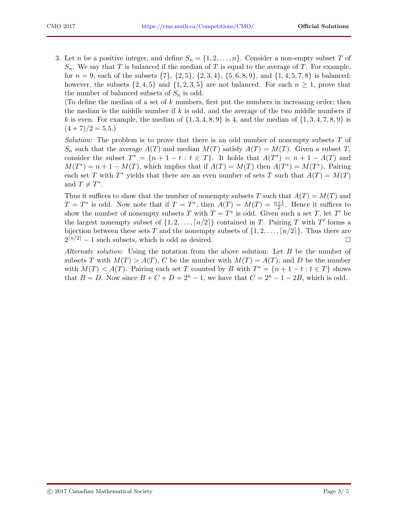3. Let n be a positive integer, and define  $S_n = \{1, 2, ..., n\}$ . Consider a non-empty subset T of  $S_n$ . We say that T is balanced if the median of T is equal to the average of T. For example, for  $n = 9$ , each of the subsets  $\{7\}$ ,  $\{2, 5\}$ ,  $\{2, 3, 4\}$ ,  $\{5, 6, 8, 9\}$ , and  $\{1, 4, 5, 7, 8\}$  is balanced; however, the subsets  $\{2, 4, 5\}$  and  $\{1, 2, 3, 5\}$  are not balanced. For each  $n \geq 1$ , prove that the number of balanced subsets of  $S_n$  is odd.

(To define the median of a set of k numbers, first put the numbers in increasing order; then the median is the middle number if  $k$  is odd, and the average of the two middle numbers if k is even. For example, the median of  $\{1, 3, 4, 8, 9\}$  is 4, and the median of  $\{1, 3, 4, 7, 8, 9\}$  is  $(4+7)/2=5.5.$ 

*Solution:* The problem is to prove that there is an odd number of nonempty subsets  $T$  of  $S_n$  such that the average  $A(T)$  and median  $M(T)$  satisfy  $A(T) = M(T)$ . Given a subset T, consider the subset  $T^* = \{n+1-t : t \in T\}$ . It holds that  $A(T^*) = n+1 - A(T)$  and  $M(T^*) = n + 1 - M(T)$ , which implies that if  $A(T) = M(T)$  then  $A(T^*) = M(T^*)$ . Pairing each set T with  $T^*$  yields that there are an even number of sets T such that  $A(T) = M(T)$ and  $T \neq T^*$ .

Thus it suffices to show that the number of nonempty subsets T such that  $A(T) = M(T)$  and  $T = T^*$  is odd. Now note that if  $T = T^*$ , then  $A(T) = M(T) = \frac{n+1}{2}$ . Hence it suffices to show the number of nonempty subsets T with  $T = T^*$  is odd. Given such a set T, let T' be the largest nonempty subset of  $\{1, 2, ..., \lfloor n/2 \rfloor\}$  contained in T. Pairing T with T' forms a bijection between these sets T and the nonempty subsets of  $\{1, 2, \ldots, \lceil n/2 \rceil\}$ . Thus there are  $2^{[n/2]} - 1$  such subsets, which is odd as desired.

Alternate solution: Using the notation from the above solution: Let B be the number of subsets T with  $M(T) > A(T)$ , C be the number with  $M(T) = A(T)$ , and D be the number with  $M(T) < A(T)$ . Pairing each set T counted by B with  $T^* = \{n+1-t : t \in T\}$  shows that  $B = D$ . Now since  $B + C + D = 2<sup>n</sup> - 1$ , we have that  $C = 2<sup>n</sup> - 1 - 2B$ , which is odd.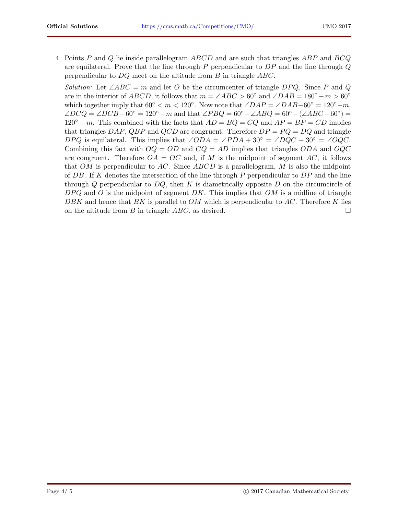4. Points P and Q lie inside parallelogram ABCD and are such that triangles ABP and BCQ are equilateral. Prove that the line through  $P$  perpendicular to  $DP$  and the line through  $Q$ perpendicular to DQ meet on the altitude from B in triangle ABC.

*Solution:* Let  $\angle ABC = m$  and let O be the circumcenter of triangle DPQ. Since P and Q are in the interior of ABCD, it follows that  $m = \angle ABC > 60^{\circ}$  and  $\angle DAB = 180^{\circ} - m > 60^{\circ}$ which together imply that  $60° < m < 120°$ . Now note that  $\angle DAP = \angle DAB - 60° = 120° - m$ ,  $\angle D C Q = \angle D C B - 60^{\circ} = 120^{\circ} - m$  and that  $\angle P B Q = 60^{\circ} - \angle A B Q = 60^{\circ} - (\angle ABC - 60^{\circ}) =$  $120° - m$ . This combined with the facts that  $AD = BQ = CQ$  and  $AP = BP = CD$  implies that triangles DAP, QBP and QCD are congruent. Therefore  $DP = PQ = DQ$  and triangle DPQ is equilateral. This implies that  $\angle ODA = \angle PDA + 30° = \angle DQC + 30° = \angle OQC$ . Combining this fact with  $OQ = OD$  and  $CQ = AD$  implies that triangles  $ODA$  and  $OQC$ are congruent. Therefore  $OA = OC$  and, if M is the midpoint of segment AC, it follows that OM is perpendicular to AC. Since  $ABCD$  is a parallelogram, M is also the midpoint of DB. If K denotes the intersection of the line through P perpendicular to  $DP$  and the line through Q perpendicular to  $DQ$ , then K is diametrically opposite D on the circumcircle of  $D P Q$  and O is the midpoint of segment DK. This implies that OM is a midline of triangle DBK and hence that BK is parallel to  $OM$  which is perpendicular to AC. Therefore K lies on the altitude from B in triangle  $ABC$ , as desired.